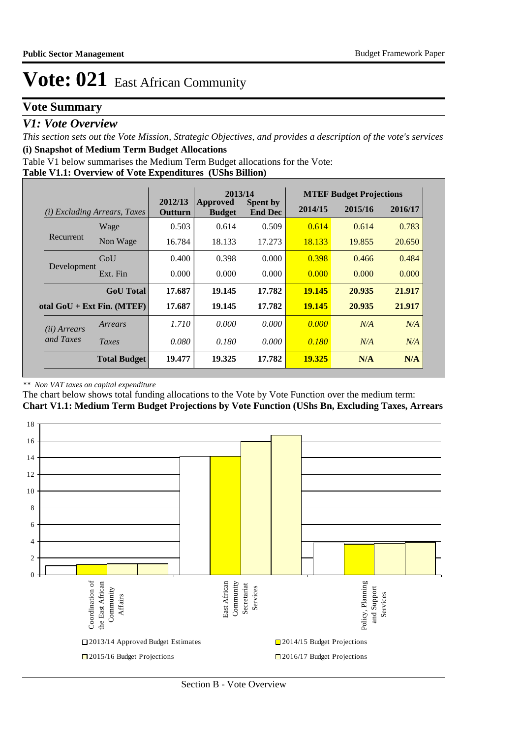## **Vote Summary**

### *V1: Vote Overview*

*This section sets out the Vote Mission, Strategic Objectives, and provides a description of the vote's services* **(i) Snapshot of Medium Term Budget Allocations** 

Table V1 below summarises the Medium Term Budget allocations for the Vote:

#### **Table V1.1: Overview of Vote Expenditures (UShs Billion)**

|                       |                                 |                    | 2013/14                          |                                   |               | <b>MTEF Budget Projections</b> |         |  |  |
|-----------------------|---------------------------------|--------------------|----------------------------------|-----------------------------------|---------------|--------------------------------|---------|--|--|
| (i)                   | <i>Excluding Arrears, Taxes</i> | 2012/13<br>Outturn | <b>Approved</b><br><b>Budget</b> | <b>Spent by</b><br><b>End Dec</b> | 2014/15       | 2015/16                        | 2016/17 |  |  |
|                       | Wage                            | 0.503              | 0.614                            | 0.509                             | 0.614         | 0.614                          | 0.783   |  |  |
| Recurrent             | Non Wage                        | 16.784             | 18.133                           | 17.273                            | 18.133        | 19.855                         | 20.650  |  |  |
|                       | GoU                             | 0.400              | 0.398                            | 0.000                             | 0.398         | 0.466                          | 0.484   |  |  |
| Development           | Ext. Fin                        | 0.000              | 0.000                            | 0.000                             | 0.000         | 0.000                          | 0.000   |  |  |
|                       | <b>GoU</b> Total                | 17.687             | 19.145                           | 17.782                            | 19.145        | 20.935                         | 21.917  |  |  |
|                       | otal $GoU + Ext Fin. (MTEF)$    | 17.687             | 19.145                           | 17.782                            | <b>19.145</b> | 20.935                         | 21.917  |  |  |
| ( <i>ii</i> ) Arrears | Arrears                         | 1.710              | 0.000                            | 0.000                             | 0.000         | N/A                            | N/A     |  |  |
| and Taxes             | Taxes                           | 0.080              | 0.180                            | 0.000                             | 0.180         | N/A                            | N/A     |  |  |
|                       | <b>Total Budget</b>             | 19.477             | 19.325                           | 17.782                            | 19.325        | N/A                            | N/A     |  |  |

#### *\*\* Non VAT taxes on capital expenditure*

The chart below shows total funding allocations to the Vote by Vote Function over the medium term:

**Chart V1.1: Medium Term Budget Projections by Vote Function (UShs Bn, Excluding Taxes, Arrears**

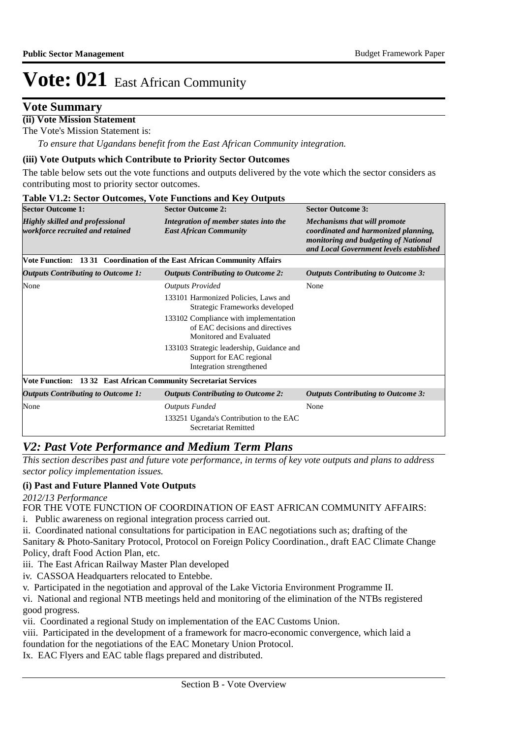## **Vote Summary**

## **(ii) Vote Mission Statement**

The Vote's Mission Statement is:

*To ensure that Ugandans benefit from the East African Community integration.*

#### **(iii) Vote Outputs which Contribute to Priority Sector Outcomes**

The table below sets out the vote functions and outputs delivered by the vote which the sector considers as contributing most to priority sector outcomes.

| <b>Sector Outcome 1:</b>                                                   | <b>Sector Outcome 2:</b>                                                                            | <b>Sector Outcome 3:</b>                                                                                                                                       |
|----------------------------------------------------------------------------|-----------------------------------------------------------------------------------------------------|----------------------------------------------------------------------------------------------------------------------------------------------------------------|
| <b>Highly skilled and professional</b><br>workforce recruited and retained | Integration of member states into the<br><b>East African Community</b>                              | <b>Mechanisms that will promote</b><br>coordinated and harmonized planning,<br>monitoring and budgeting of National<br>and Local Government levels established |
| Vote Function: 1331 Coordination of the East African Community Affairs     |                                                                                                     |                                                                                                                                                                |
| <b>Outputs Contributing to Outcome 1:</b>                                  | <b>Outputs Contributing to Outcome 2:</b>                                                           | <b>Outputs Contributing to Outcome 3:</b>                                                                                                                      |
| None                                                                       | <b>Outputs Provided</b>                                                                             | None                                                                                                                                                           |
|                                                                            | 133101 Harmonized Policies, Laws and<br>Strategic Frameworks developed                              |                                                                                                                                                                |
|                                                                            | 133102 Compliance with implementation<br>of EAC decisions and directives<br>Monitored and Evaluated |                                                                                                                                                                |
|                                                                            | 133103 Strategic leadership, Guidance and<br>Support for EAC regional<br>Integration strengthened   |                                                                                                                                                                |
| Vote Function: 13 32 East African Community Secretariat Services           |                                                                                                     |                                                                                                                                                                |
| <b>Outputs Contributing to Outcome 1:</b>                                  | <b>Outputs Contributing to Outcome 2:</b>                                                           | <b>Outputs Contributing to Outcome 3:</b>                                                                                                                      |
| None                                                                       | <b>Outputs Funded</b>                                                                               | None                                                                                                                                                           |
|                                                                            | 133251 Uganda's Contribution to the EAC<br><b>Secretariat Remitted</b>                              |                                                                                                                                                                |

## *V2: Past Vote Performance and Medium Term Plans*

*This section describes past and future vote performance, in terms of key vote outputs and plans to address sector policy implementation issues.* 

### **(i) Past and Future Planned Vote Outputs**

*2012/13 Performance*

FOR THE VOTE FUNCTION OF COORDINATION OF EAST AFRICAN COMMUNITY AFFAIRS:

- i. Public awareness on regional integration process carried out.
- ii. Coordinated national consultations for participation in EAC negotiations such as; drafting of the Sanitary & Photo-Sanitary Protocol, Protocol on Foreign Policy Coordination., draft EAC Climate Change Policy, draft Food Action Plan, etc.
- iii. The East African Railway Master Plan developed
- iv. CASSOA Headquarters relocated to Entebbe.
- v. Participated in the negotiation and approval of the Lake Victoria Environment Programme II.
- vi. National and regional NTB meetings held and monitoring of the elimination of the NTBs registered good progress.
- vii. Coordinated a regional Study on implementation of the EAC Customs Union.
- viii. Participated in the development of a framework for macro-economic convergence, which laid a
- foundation for the negotiations of the EAC Monetary Union Protocol.

Ix. EAC Flyers and EAC table flags prepared and distributed.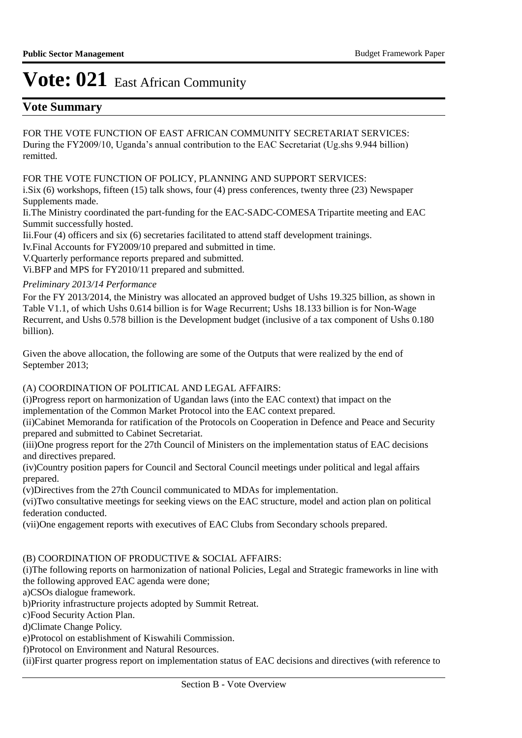## **Vote Summary**

FOR THE VOTE FUNCTION OF EAST AFRICAN COMMUNITY SECRETARIAT SERVICES: During the FY2009/10, Uganda's annual contribution to the EAC Secretariat (Ug.shs 9.944 billion) remitted.

FOR THE VOTE FUNCTION OF POLICY, PLANNING AND SUPPORT SERVICES:

i.Six (6) workshops, fifteen (15) talk shows, four (4) press conferences, twenty three (23) Newspaper Supplements made.

Ii. The Ministry coordinated the part-funding for the EAC-SADC-COMESA Tripartite meeting and EAC Summit successfully hosted.

Iii. Four (4) officers and six (6) secretaries facilitated to attend staff development trainings.

Iv. Final Accounts for FY2009/10 prepared and submitted in time.

V. Quarterly performance reports prepared and submitted.

Vi.BFP and MPS for FY2010/11 prepared and submitted.

### *Preliminary 2013/14 Performance*

For the FY 2013/2014, the Ministry was allocated an approved budget of Ushs 19.325 billion, as shown in Table V1.1, of which Ushs 0.614 billion is for Wage Recurrent; Ushs 18.133 billion is for Non-Wage Recurrent, and Ushs 0.578 billion is the Development budget (inclusive of a tax component of Ushs 0.180 billion).

Given the above allocation, the following are some of the Outputs that were realized by the end of September 2013;

### (A) COORDINATION OF POLITICAL AND LEGAL AFFAIRS:

(i) Progress report on harmonization of Ugandan laws (into the EAC context) that impact on the

implementation of the Common Market Protocol into the EAC context prepared.

(ii) Cabinet Memoranda for ratification of the Protocols on Cooperation in Defence and Peace and Security prepared and submitted to Cabinet Secretariat.

(iii) One progress report for the 27th Council of Ministers on the implementation status of EAC decisions and directives prepared.

(iv) Country position papers for Council and Sectoral Council meetings under political and legal affairs prepared.

(v) Directives from the 27th Council communicated to MDAs for implementation.

(vi)Two consultative meetings for seeking views on the EAC structure, model and action plan on political federation conducted.

(vii) One engagement reports with executives of EAC Clubs from Secondary schools prepared.

### (B) COORDINATION OF PRODUCTIVE & SOCIAL AFFAIRS:

(i) The following reports on harmonization of national Policies, Legal and Strategic frameworks in line with the following approved EAC agenda were done;

a)CSOs dialogue framework.

b)Priority infrastructure projects adopted by Summit Retreat.

c) Food Security Action Plan.

d) Climate Change Policy.

e)Protocol on establishment of Kiswahili Commission.

f)Protocol on Environment and Natural Resources.

(ii) First quarter progress report on implementation status of EAC decisions and directives (with reference to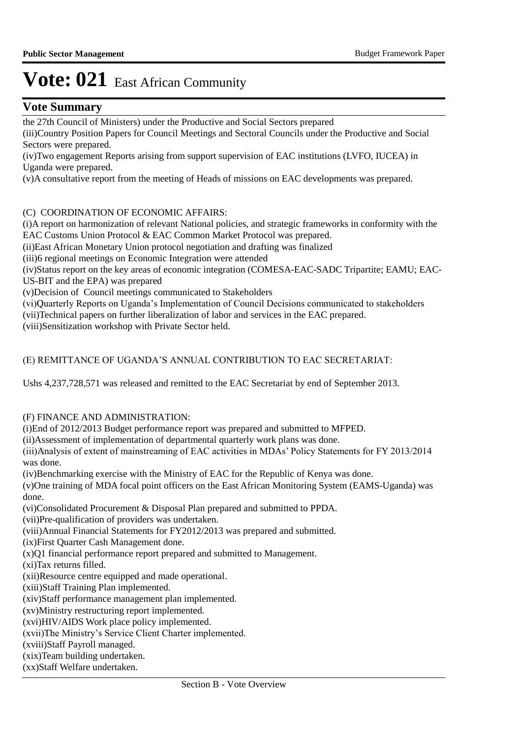## **Vote Summary**

the 27th Council of Ministers) under the Productive and Social Sectors prepared

(iii) Country Position Papers for Council Meetings and Sectoral Councils under the Productive and Social Sectors were prepared.

(iv) Two engagement Reports arising from support supervision of EAC institutions (LVFO, IUCEA) in Uganda were prepared.

(v) A consultative report from the meeting of Heads of missions on EAC developments was prepared.

### (C) COORDINATION OF ECONOMIC AFFAIRS:

(i) A report on harmonization of relevant National policies, and strategic frameworks in conformity with the EAC Customs Union Protocol & EAC Common Market Protocol was prepared.

(ii) East African Monetary Union protocol negotiation and drafting was finalized

(iii) 6 regional meetings on Economic Integration were attended

(iv) Status report on the key areas of economic integration (COMESA-EAC-SADC Tripartite; EAMU; EAC-US-BIT and the EPA) was prepared

(v) Decision of Council meetings communicated to Stakeholders

(vi) Quarterly Reports on Uganda's Implementation of Council Decisions communicated to stakeholders

(vii) Technical papers on further liberalization of labor and services in the EAC prepared.

(viii) Sensitization workshop with Private Sector held.

## (E) REMITTANCE OF UGANDA'S ANNUAL CONTRIBUTION TO EAC SECRETARIAT:

Ushs 4,237,728,571 was released and remitted to the EAC Secretariat by end of September 2013.

### (F) FINANCE AND ADMINISTRATION:

(i)End of 2012/2013 Budget performance report was prepared and submitted to MFPED.

(ii) Assessment of implementation of departmental quarterly work plans was done.

(iii) Analysis of extent of mainstreaming of EAC activities in MDAs' Policy Statements for FY 2013/2014 was done.

(iv) Benchmarking exercise with the Ministry of EAC for the Republic of Kenya was done.

(v) One training of MDA focal point officers on the East African Monitoring System (EAMS-Uganda) was done.

(vi) Consolidated Procurement & Disposal Plan prepared and submitted to PPDA.

(vii) Pre-qualification of providers was undertaken.

(viii) Annual Financial Statements for FY2012/2013 was prepared and submitted.

(ix) First Quarter Cash Management done.

 $(x)$ O1 financial performance report prepared and submitted to Management.

(xi) Tax returns filled.

(xii) Resource centre equipped and made operational.

(xiii) Staff Training Plan implemented.

(xiv) Staff performance management plan implemented.

(xv) Ministry restructuring report implemented.

(xvi) HIV/AIDS Work place policy implemented.

(xvii) The Ministry's Service Client Charter implemented.

(xviii) Staff Payroll managed.

(xix) Team building undertaken.

(xx) Staff Welfare undertaken.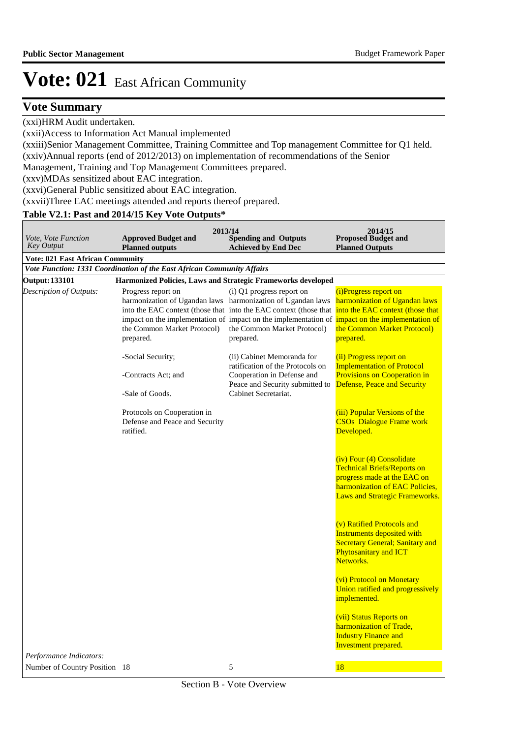## **Vote Summary**

(xxi)HRM Audit undertaken.

(xxii) Access to Information Act Manual implemented

(xxiii) Senior Management Committee, Training Committee and Top management Committee for Q1 held. (xxiv) Annual reports (end of 2012/2013) on implementation of recommendations of the Senior

Management, Training and Top Management Committees prepared.

(xxv) MDAs sensitized about EAC integration.

(xxvi) General Public sensitized about EAC integration.

(xxvii) Three EAC meetings attended and reports thereof prepared.

## **Table V2.1: Past and 2014/15 Key Vote Outputs\***

|                                                          | 2013/14                                                                             |                                                                                                                                                                                                                                                                                                                                                | 2014/15                                                                                                                                                                                                                                   |
|----------------------------------------------------------|-------------------------------------------------------------------------------------|------------------------------------------------------------------------------------------------------------------------------------------------------------------------------------------------------------------------------------------------------------------------------------------------------------------------------------------------|-------------------------------------------------------------------------------------------------------------------------------------------------------------------------------------------------------------------------------------------|
| Vote, Vote Function<br><b>Key Output</b>                 | <b>Approved Budget and</b><br><b>Planned outputs</b>                                | <b>Spending and Outputs</b><br><b>Achieved by End Dec</b>                                                                                                                                                                                                                                                                                      | <b>Proposed Budget and</b><br><b>Planned Outputs</b>                                                                                                                                                                                      |
| <b>Vote: 021 East African Community</b>                  |                                                                                     |                                                                                                                                                                                                                                                                                                                                                |                                                                                                                                                                                                                                           |
|                                                          | Vote Function: 1331 Coordination of the East African Community Affairs              |                                                                                                                                                                                                                                                                                                                                                |                                                                                                                                                                                                                                           |
| <b>Output: 133101</b>                                    | Harmonized Policies, Laws and Strategic Frameworks developed                        |                                                                                                                                                                                                                                                                                                                                                |                                                                                                                                                                                                                                           |
| Description of Outputs:                                  | Progress report on<br>the Common Market Protocol)<br>prepared.<br>-Social Security; | (i) Q1 progress report on<br>harmonization of Ugandan laws harmonization of Ugandan laws<br>into the EAC context (those that into the EAC context (those that<br>impact on the implementation of impact on the implementation of<br>the Common Market Protocol)<br>prepared.<br>(ii) Cabinet Memoranda for<br>ratification of the Protocols on | (i)Progress report on<br>harmonization of Ugandan laws<br>into the EAC context (those that<br>impact on the implementation of<br>the Common Market Protocol)<br>prepared.<br>(ii) Progress report on<br><b>Implementation of Protocol</b> |
|                                                          | -Contracts Act; and<br>-Sale of Goods.                                              | Cooperation in Defense and<br>Peace and Security submitted to<br>Cabinet Secretariat.                                                                                                                                                                                                                                                          | Provisions on Cooperation in<br>Defense, Peace and Security                                                                                                                                                                               |
|                                                          | Protocols on Cooperation in<br>Defense and Peace and Security<br>ratified.          |                                                                                                                                                                                                                                                                                                                                                | (iii) Popular Versions of the<br><b>CSOs</b> Dialogue Frame work<br>Developed.                                                                                                                                                            |
|                                                          |                                                                                     |                                                                                                                                                                                                                                                                                                                                                | (iv) Four (4) Consolidate<br><b>Technical Briefs/Reports on</b><br>progress made at the EAC on<br>harmonization of EAC Policies,<br>Laws and Strategic Frameworks.                                                                        |
|                                                          |                                                                                     |                                                                                                                                                                                                                                                                                                                                                | (v) Ratified Protocols and<br><b>Instruments deposited with</b><br><b>Secretary General; Sanitary and</b><br>Phytosanitary and ICT<br>Networks.                                                                                           |
|                                                          |                                                                                     |                                                                                                                                                                                                                                                                                                                                                | (vi) Protocol on Monetary<br>Union ratified and progressively<br>implemented.                                                                                                                                                             |
|                                                          |                                                                                     |                                                                                                                                                                                                                                                                                                                                                | (vii) Status Reports on<br>harmonization of Trade,<br><b>Industry Finance and</b><br><b>Investment</b> prepared.                                                                                                                          |
| Performance Indicators:<br>Number of Country Position 18 |                                                                                     | 5                                                                                                                                                                                                                                                                                                                                              | 18                                                                                                                                                                                                                                        |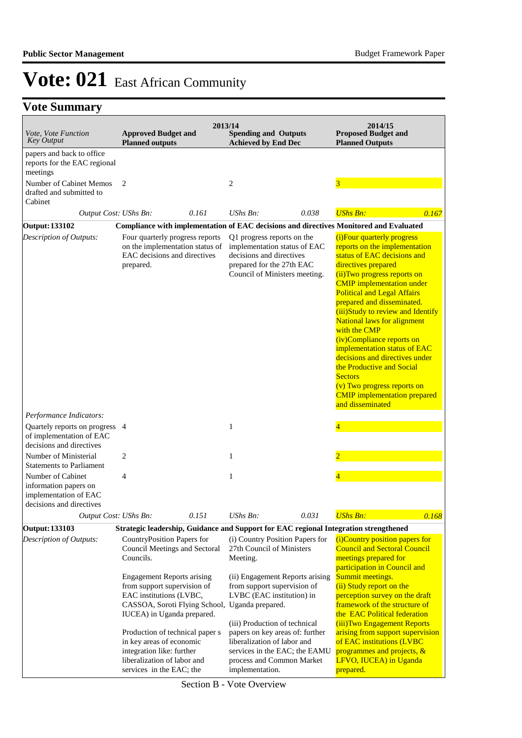## **Vote Summary**

| <i>Vote, Vote Function</i><br><b>Key Output</b>                                                                   | <b>Approved Budget and</b><br><b>Planned outputs</b>                                                                                                                        | 2013/14 | <b>Spending and Outputs</b><br><b>Achieved by End Dec</b>                                                                                                                        |       | 2014/15<br><b>Proposed Budget and</b><br><b>Planned Outputs</b>                                                                                                                                                                                                                                                                                                                                                                                                                                                                                                                                |
|-------------------------------------------------------------------------------------------------------------------|-----------------------------------------------------------------------------------------------------------------------------------------------------------------------------|---------|----------------------------------------------------------------------------------------------------------------------------------------------------------------------------------|-------|------------------------------------------------------------------------------------------------------------------------------------------------------------------------------------------------------------------------------------------------------------------------------------------------------------------------------------------------------------------------------------------------------------------------------------------------------------------------------------------------------------------------------------------------------------------------------------------------|
| papers and back to office<br>reports for the EAC regional<br>meetings                                             |                                                                                                                                                                             |         |                                                                                                                                                                                  |       |                                                                                                                                                                                                                                                                                                                                                                                                                                                                                                                                                                                                |
| Number of Cabinet Memos<br>drafted and submitted to<br>Cabinet                                                    | $\overline{2}$                                                                                                                                                              |         | $\overline{c}$                                                                                                                                                                   |       | 3                                                                                                                                                                                                                                                                                                                                                                                                                                                                                                                                                                                              |
| Output Cost: UShs Bn:                                                                                             |                                                                                                                                                                             | 0.161   | $UShs Bn$ :                                                                                                                                                                      | 0.038 | <b>UShs Bn:</b><br>0.167                                                                                                                                                                                                                                                                                                                                                                                                                                                                                                                                                                       |
| Output: 133102                                                                                                    |                                                                                                                                                                             |         |                                                                                                                                                                                  |       | Compliance with implementation of EAC decisions and directives Monitored and Evaluated                                                                                                                                                                                                                                                                                                                                                                                                                                                                                                         |
| Description of Outputs:                                                                                           | Four quarterly progress reports<br>on the implementation status of<br>EAC decisions and directives<br>prepared.                                                             |         | Q1 progress reports on the<br>implementation status of EAC<br>decisions and directives<br>prepared for the 27th EAC<br>Council of Ministers meeting.                             |       | (i) Four quarterly progress<br>reports on the implementation<br>status of EAC decisions and<br>directives prepared<br>(ii) Two progress reports on<br><b>CMIP</b> implementation under<br><b>Political and Legal Affairs</b><br>prepared and disseminated.<br>(iii) Study to review and Identify<br><b>National laws for alignment</b><br>with the CMP<br>(iv)Compliance reports on<br>implementation status of EAC<br>decisions and directives under<br>the Productive and Social<br><b>Sectors</b><br>(v) Two progress reports on<br><b>CMIP</b> implementation prepared<br>and disseminated |
| Performance Indicators:<br>Quartely reports on progress 4<br>of implementation of EAC<br>decisions and directives |                                                                                                                                                                             |         | $\mathbf{1}$                                                                                                                                                                     |       | $\overline{4}$                                                                                                                                                                                                                                                                                                                                                                                                                                                                                                                                                                                 |
| Number of Ministerial<br><b>Statements to Parliament</b>                                                          | 2                                                                                                                                                                           |         | $\mathbf{1}$                                                                                                                                                                     |       |                                                                                                                                                                                                                                                                                                                                                                                                                                                                                                                                                                                                |
| Number of Cabinet<br>information papers on<br>implementation of EAC<br>decisions and directives                   | 4                                                                                                                                                                           |         | $\mathbf{1}$                                                                                                                                                                     |       |                                                                                                                                                                                                                                                                                                                                                                                                                                                                                                                                                                                                |
| Output Cost: UShs Bn:                                                                                             |                                                                                                                                                                             | 0.151   | UShs Bn:                                                                                                                                                                         | 0.031 | <b>UShs Bn:</b><br>0.168                                                                                                                                                                                                                                                                                                                                                                                                                                                                                                                                                                       |
| Output: 133103                                                                                                    |                                                                                                                                                                             |         |                                                                                                                                                                                  |       | Strategic leadership, Guidance and Support for EAC regional Integration strengthened                                                                                                                                                                                                                                                                                                                                                                                                                                                                                                           |
| Description of Outputs:                                                                                           | CountryPosition Papers for<br>Council Meetings and Sectoral<br>Councils.                                                                                                    |         | (i) Country Position Papers for<br>27th Council of Ministers<br>Meeting.                                                                                                         |       | (i)Country position papers for<br><b>Council and Sectoral Council</b><br>meetings prepared for<br>participation in Council and                                                                                                                                                                                                                                                                                                                                                                                                                                                                 |
|                                                                                                                   | <b>Engagement Reports arising</b><br>from support supervision of<br>EAC institutions (LVBC,<br>CASSOA, Soroti Flying School, Uganda prepared.<br>IUCEA) in Uganda prepared. |         | (ii) Engagement Reports arising<br>from support supervision of<br>LVBC (EAC institution) in                                                                                      |       | Summit meetings.<br>(ii) Study report on the<br>perception survey on the draft<br>framework of the structure of<br>the EAC Political federation                                                                                                                                                                                                                                                                                                                                                                                                                                                |
|                                                                                                                   | Production of technical paper s<br>in key areas of economic<br>integration like: further<br>liberalization of labor and<br>services in the EAC; the                         |         | (iii) Production of technical<br>papers on key areas of: further<br>liberalization of labor and<br>services in the EAC; the EAMU<br>process and Common Market<br>implementation. |       | (iii) Two Engagement Reports<br>arising from support supervision<br>of EAC institutions (LVBC<br>programmes and projects, &<br>LFVO, IUCEA) in Uganda<br>prepared.                                                                                                                                                                                                                                                                                                                                                                                                                             |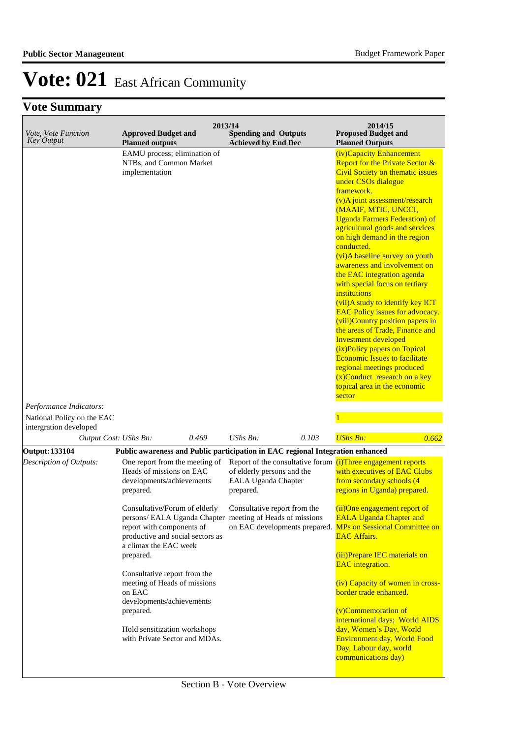## **Vote Summary**

| Vote, Vote Function<br><b>Key Output</b>             | <b>Approved Budget and</b><br><b>Planned outputs</b>                                                                                                                                                                           | 2013/14<br><b>Spending and Outputs</b><br><b>Achieved by End Dec</b>                                                           | 2014/15<br><b>Proposed Budget and</b><br><b>Planned Outputs</b>                                                                                                                                                                                                                                                                                                                                                                                                                                                                                                                                                                                                                                                                                                                                                                                                     |
|------------------------------------------------------|--------------------------------------------------------------------------------------------------------------------------------------------------------------------------------------------------------------------------------|--------------------------------------------------------------------------------------------------------------------------------|---------------------------------------------------------------------------------------------------------------------------------------------------------------------------------------------------------------------------------------------------------------------------------------------------------------------------------------------------------------------------------------------------------------------------------------------------------------------------------------------------------------------------------------------------------------------------------------------------------------------------------------------------------------------------------------------------------------------------------------------------------------------------------------------------------------------------------------------------------------------|
| Performance Indicators:                              | EAMU process; elimination of<br>NTBs, and Common Market<br>implementation                                                                                                                                                      |                                                                                                                                | (iv)Capacity Enhancement<br><b>Report for the Private Sector &amp;</b><br><b>Civil Society on thematic issues</b><br>under CSOs dialogue<br>framework.<br>(v)A joint assessment/research<br>(MAAIF, MTIC, UNCCI,<br><b>Uganda Farmers Federation) of</b><br>agricultural goods and services<br>on high demand in the region<br>conducted.<br>(vi)A baseline survey on youth<br>awareness and involvement on<br>the EAC integration agenda<br>with special focus on tertiary<br>institutions<br>(vii) A study to identify key ICT<br><b>EAC Policy issues for advocacy.</b><br>(viii)Country position papers in<br>the areas of Trade, Finance and<br><b>Investment developed</b><br>(ix)Policy papers on Topical<br><b>Economic Issues to facilitate</b><br>regional meetings produced<br>$(x)$ Conduct research on a key<br>topical area in the economic<br>sector |
| National Policy on the EAC<br>intergration developed |                                                                                                                                                                                                                                |                                                                                                                                |                                                                                                                                                                                                                                                                                                                                                                                                                                                                                                                                                                                                                                                                                                                                                                                                                                                                     |
| Output Cost: UShs Bn:                                | 0.469                                                                                                                                                                                                                          | $UShs Bn$ :<br>0.103                                                                                                           | <b>UShs Bn:</b><br>0.662                                                                                                                                                                                                                                                                                                                                                                                                                                                                                                                                                                                                                                                                                                                                                                                                                                            |
| <b>Output: 133104</b>                                |                                                                                                                                                                                                                                | Public awareness and Public participation in EAC regional Integration enhanced                                                 |                                                                                                                                                                                                                                                                                                                                                                                                                                                                                                                                                                                                                                                                                                                                                                                                                                                                     |
| Description of Outputs:                              | One report from the meeting of<br>Heads of missions on EAC<br>developments/achievements<br>prepared.                                                                                                                           | Report of the consultative forum (i)Three engagement reports<br>of elderly persons and the<br>EALA Uganda Chapter<br>prepared. | with executives of EAC Clubs<br>from secondary schools (4<br>regions in Uganda) prepared.                                                                                                                                                                                                                                                                                                                                                                                                                                                                                                                                                                                                                                                                                                                                                                           |
|                                                      | Consultative/Forum of elderly Consultative report from the<br>persons/ EALA Uganda Chapter meeting of Heads of missions<br>report with components of<br>productive and social sectors as<br>a climax the EAC week<br>prepared. | on EAC developments prepared.                                                                                                  | (ii)One engagement report of<br><b>EALA Uganda Chapter and</b><br><b>MPs on Sessional Committee on</b><br><b>EAC Affairs.</b><br>(iii)Prepare IEC materials on<br><b>EAC</b> integration.                                                                                                                                                                                                                                                                                                                                                                                                                                                                                                                                                                                                                                                                           |
|                                                      | Consultative report from the<br>meeting of Heads of missions<br>on EAC<br>developments/achievements<br>prepared.<br>Hold sensitization workshops<br>with Private Sector and MDAs.                                              |                                                                                                                                | (iv) Capacity of women in cross-<br>border trade enhanced.<br>(v)Commemoration of<br>international days; World AIDS<br>day, Women's Day, World<br><b>Environment day, World Food</b><br>Day, Labour day, world<br>communications day)                                                                                                                                                                                                                                                                                                                                                                                                                                                                                                                                                                                                                               |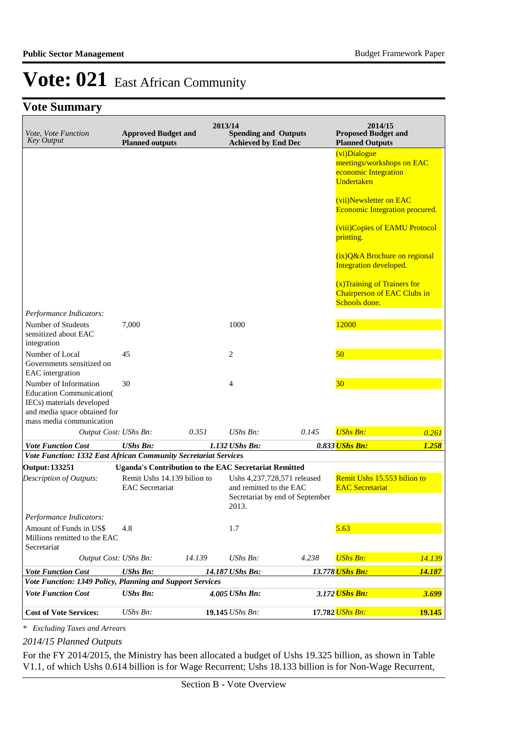## **Vote Summary**

| Vote, Vote Function<br><b>Key Output</b>                                                                                                           | <b>Approved Budget and</b><br><b>Planned outputs</b>         | 2013/14 | <b>Spending and Outputs</b><br><b>Achieved by End Dec</b>       |                                 | 2014/15<br><b>Proposed Budget and</b><br><b>Planned Outputs</b>                     |        |
|----------------------------------------------------------------------------------------------------------------------------------------------------|--------------------------------------------------------------|---------|-----------------------------------------------------------------|---------------------------------|-------------------------------------------------------------------------------------|--------|
|                                                                                                                                                    |                                                              |         |                                                                 |                                 | (vi)Dialogue<br>meetings/workshops on EAC<br>economic Integration<br>Undertaken     |        |
|                                                                                                                                                    |                                                              |         |                                                                 |                                 | (vii)Newsletter on EAC<br><b>Economic Integration procured.</b>                     |        |
|                                                                                                                                                    |                                                              |         |                                                                 |                                 | (viii) Copies of EAMU Protocol<br>printing.                                         |        |
|                                                                                                                                                    |                                                              |         |                                                                 |                                 | (ix) Q&A Brochure on regional<br>Integration developed.                             |        |
|                                                                                                                                                    |                                                              |         |                                                                 |                                 | (x) Training of Trainers for<br><b>Chairperson of EAC Clubs in</b><br>Schools done. |        |
| Performance Indicators:                                                                                                                            |                                                              |         |                                                                 |                                 |                                                                                     |        |
| Number of Students<br>sensitized about EAC<br>integration                                                                                          | 7.000                                                        |         | 1000                                                            |                                 | 12000                                                                               |        |
| Number of Local<br>Governments sensitized on<br>EAC intergration                                                                                   | 45                                                           |         | $\overline{c}$                                                  |                                 | 50                                                                                  |        |
| Number of Information<br><b>Education Communication</b> (<br>IECs) materials developed<br>and media space obtained for<br>mass media communication | 30                                                           |         | 4                                                               |                                 | 30 <sub>o</sub>                                                                     |        |
| Output Cost: UShs Bn:                                                                                                                              |                                                              | 0.351   | UShs Bn:                                                        | 0.145                           | <b>UShs Bn:</b>                                                                     | 0.261  |
| <b>Vote Function Cost</b>                                                                                                                          | <b>UShs Bn:</b>                                              |         | 1.132 UShs Bn:                                                  |                                 | 0.833 UShs Bn:                                                                      | 1.258  |
| Vote Function: 1332 East African Community Secretariat Services                                                                                    |                                                              |         |                                                                 |                                 |                                                                                     |        |
| <b>Output: 133251</b>                                                                                                                              | <b>Uganda's Contribution to the EAC Secretariat Remitted</b> |         |                                                                 |                                 |                                                                                     |        |
| Description of Outputs:                                                                                                                            | Remit Ushs 14.139 bilion to<br><b>EAC</b> Secretariat        |         | Ushs 4,237,728,571 released<br>and remitted to the EAC<br>2013. | Secretariat by end of September | Remit Ushs 15.553 bilion to<br><b>EAC</b> Secretariat                               |        |
| Performance Indicators:                                                                                                                            |                                                              |         |                                                                 |                                 |                                                                                     |        |
| Amount of Funds in US\$<br>Millions remitted to the EAC<br>Secretariat                                                                             | 4.8                                                          |         | 1.7                                                             |                                 | 5.63                                                                                |        |
| Output Cost: UShs Bn:                                                                                                                              |                                                              | 14.139  | UShs Bn:                                                        | 4.238                           | <b>UShs Bn:</b>                                                                     | 14.139 |
| <b>Vote Function Cost</b>                                                                                                                          | <b>UShs Bn:</b>                                              |         | 14.187 UShs Bn:                                                 |                                 | 13.778 <mark>UShs Bn:</mark>                                                        | 14.187 |
| Vote Function: 1349 Policy, Planning and Support Services                                                                                          |                                                              |         |                                                                 |                                 |                                                                                     |        |
| <b>Vote Function Cost</b>                                                                                                                          | <b>UShs Bn:</b>                                              |         | 4.005 UShs Bn:                                                  |                                 | 3.172 UShs Bn:                                                                      | 3.699  |
| <b>Cost of Vote Services:</b>                                                                                                                      | <b>UShs Bn:</b>                                              |         | 19.145 UShs Bn:                                                 |                                 | 17.782 UShs Bn:                                                                     | 19.145 |

*\* Excluding Taxes and Arrears*

*2014/15 Planned Outputs*

For the FY 2014/2015, the Ministry has been allocated a budget of Ushs 19.325 billion, as shown in Table V1.1, of which Ushs 0.614 billion is for Wage Recurrent; Ushs 18.133 billion is for Non-Wage Recurrent,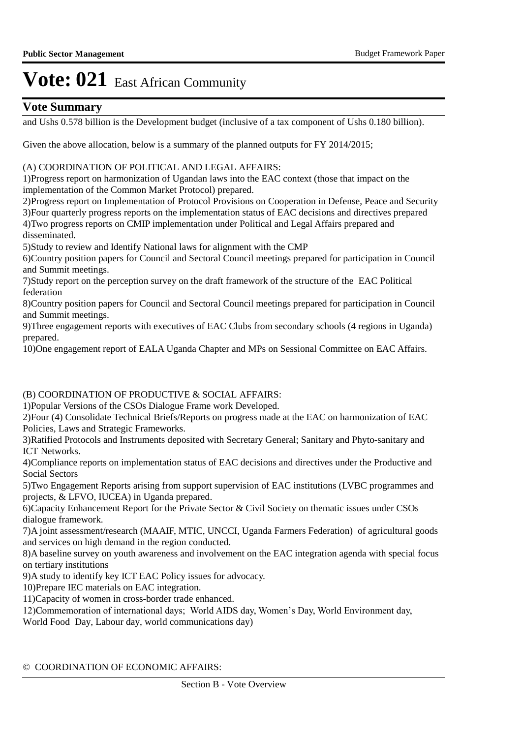## **Vote Summary**

and Ushs 0.578 billion is the Development budget (inclusive of a tax component of Ushs 0.180 billion).

Given the above allocation, below is a summary of the planned outputs for FY 2014/2015;

#### (A) COORDINATION OF POLITICAL AND LEGAL AFFAIRS:

1) Progress report on harmonization of Ugandan laws into the EAC context (those that impact on the implementation of the Common Market Protocol) prepared.

2) Progress report on Implementation of Protocol Provisions on Cooperation in Defense, Peace and Security 3) Four quarterly progress reports on the implementation status of EAC decisions and directives prepared 4) Two progress reports on CMIP implementation under Political and Legal Affairs prepared and disseminated.

5) Study to review and Identify National laws for alignment with the CMP

6) Country position papers for Council and Sectoral Council meetings prepared for participation in Council and Summit meetings.

7) Study report on the perception survey on the draft framework of the structure of the EAC Political federation

8) Country position papers for Council and Sectoral Council meetings prepared for participation in Council and Summit meetings.

9) Three engagement reports with executives of EAC Clubs from secondary schools (4 regions in Uganda) prepared.

10) One engagement report of EALA Uganda Chapter and MPs on Sessional Committee on EAC Affairs.

### (B) COORDINATION OF PRODUCTIVE & SOCIAL AFFAIRS:

1) Popular Versions of the CSOs Dialogue Frame work Developed.

2) Four (4) Consolidate Technical Briefs/Reports on progress made at the EAC on harmonization of EAC Policies, Laws and Strategic Frameworks.

3) Ratified Protocols and Instruments deposited with Secretary General; Sanitary and Phyto-sanitary and ICT Networks.

4) Compliance reports on implementation status of EAC decisions and directives under the Productive and Social Sectors

5) Two Engagement Reports arising from support supervision of EAC institutions (LVBC programmes and projects, & LFVO, IUCEA) in Uganda prepared.

6) Capacity Enhancement Report for the Private Sector & Civil Society on thematic issues under CSOs dialogue framework.

7) A joint assessment/research (MAAIF, MTIC, UNCCI, Uganda Farmers Federation) of agricultural goods and services on high demand in the region conducted.

8) A baseline survey on youth awareness and involvement on the EAC integration agenda with special focus on tertiary institutions

9) A study to identify key ICT EAC Policy issues for advocacy.

10) Prepare IEC materials on EAC integration.

11) Capacity of women in cross-border trade enhanced.

12) Commemoration of international days; World AIDS day, Women's Day, World Environment day,

World Food Day, Labour day, world communications day)

#### © COORDINATION OF ECONOMIC AFFAIRS: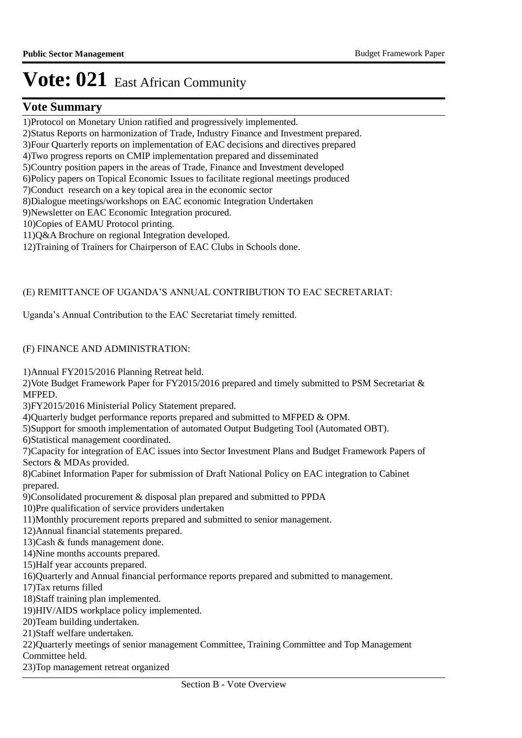## **Vote Summary**

1) Protocol on Monetary Union ratified and progressively implemented.

2) Status Reports on harmonization of Trade, Industry Finance and Investment prepared.

3) Four Quarterly reports on implementation of EAC decisions and directives prepared

4) Two progress reports on CMIP implementation prepared and disseminated

5) Country position papers in the areas of Trade, Finance and Investment developed

6) Policy papers on Topical Economic Issues to facilitate regional meetings produced

7) Conduct research on a key topical area in the economic sector

8) Dialogue meetings/workshops on EAC economic Integration Undertaken

9) Newsletter on EAC Economic Integration procured.

10) Copies of EAMU Protocol printing.

 $11)Q&A$  Brochure on regional Integration developed.

12) Training of Trainers for Chairperson of EAC Clubs in Schools done.

## (E) REMITTANCE OF UGANDA'S ANNUAL CONTRIBUTION TO EAC SECRETARIAT:

Uganda's Annual Contribution to the EAC Secretariat timely remitted.

## (F) FINANCE AND ADMINISTRATION:

1) Annual FY2015/2016 Planning Retreat held.

2) Vote Budget Framework Paper for FY2015/2016 prepared and timely submitted to PSM Secretariat & MFPED.

3)FY2015/2016 Ministerial Policy Statement prepared.

4) Quarterly budget performance reports prepared and submitted to MFPED & OPM.

5) Support for smooth implementation of automated Output Budgeting Tool (Automated OBT).

6) Statistical management coordinated.

7) Capacity for integration of EAC issues into Sector Investment Plans and Budget Framework Papers of Sectors & MDAs provided.

8) Cabinet Information Paper for submission of Draft National Policy on EAC integration to Cabinet prepared.

9) Consolidated procurement & disposal plan prepared and submitted to PPDA

10) Pre qualification of service providers undertaken

11) Monthly procurement reports prepared and submitted to senior management.

12) Annual financial statements prepared.

13) Cash & funds management done.

14) Nine months accounts prepared.

15) Half year accounts prepared.

16) Quarterly and Annual financial performance reports prepared and submitted to management.

17) Tax returns filled

18) Staff training plan implemented.

19) HIV/AIDS workplace policy implemented.

20) Team building undertaken.

21) Staff welfare undertaken.

22) Quarterly meetings of senior management Committee, Training Committee and Top Management

Committee held.

23) Top management retreat organized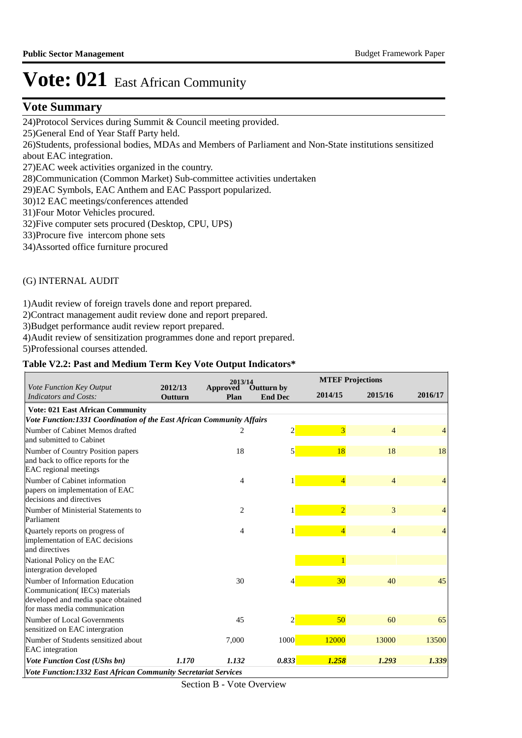## **Vote Summary**

24) Protocol Services during Summit & Council meeting provided.

25) General End of Year Staff Party held.

26) Students, professional bodies, MDAs and Members of Parliament and Non-State institutions sensitized about EAC integration.

27) EAC week activities organized in the country.

28) Communication (Common Market) Sub-committee activities undertaken

29) EAC Symbols, EAC Anthem and EAC Passport popularized.

- 30)12 EAC meetings/conferences attended
- 31) Four Motor Vehicles procured.

32) Five computer sets procured (Desktop, CPU, UPS)

33) Procure five intercom phone sets

34) Assorted office furniture procured

### (G) INTERNAL AUDIT

1) Audit review of foreign travels done and report prepared.

2) Contract management audit review done and report prepared.

3) Budget performance audit review report prepared.

4) Audit review of sensitization programmes done and report prepared.

5) Professional courses attended.

### **Table V2.2: Past and Medium Term Key Vote Output Indicators\***

|                                                                                                                                        |                           | 2013/14                 |                                     |                | <b>MTEF Projections</b> |                |
|----------------------------------------------------------------------------------------------------------------------------------------|---------------------------|-------------------------|-------------------------------------|----------------|-------------------------|----------------|
| Vote Function Key Output<br>Indicators and Costs:                                                                                      | 2012/13<br><b>Outturn</b> | <b>Approved</b><br>Plan | <b>Outturn by</b><br><b>End Dec</b> | 2014/15        | 2015/16                 | 2016/17        |
| <b>Vote: 021 East African Community</b>                                                                                                |                           |                         |                                     |                |                         |                |
| Vote Function:1331 Coordination of the East African Community Affairs                                                                  |                           |                         |                                     |                |                         |                |
| Number of Cabinet Memos drafted<br>and submitted to Cabinet                                                                            |                           | 2                       | $\overline{c}$                      | $\overline{3}$ | $\overline{4}$          | 4              |
| Number of Country Position papers<br>and back to office reports for the<br>EAC regional meetings                                       |                           | 18                      | $\mathbf{5}$                        | 18             | 18                      | 18             |
| Number of Cabinet information<br>papers on implementation of EAC<br>decisions and directives                                           |                           | $\overline{4}$          | $\mathbf{1}$                        | $\overline{4}$ | $\overline{4}$          | $\overline{4}$ |
| Number of Ministerial Statements to<br>Parliament                                                                                      |                           | $\overline{2}$          |                                     | $\overline{2}$ | 3                       | 4              |
| Quartely reports on progress of<br>implementation of EAC decisions<br>and directives                                                   |                           | 4                       |                                     | $\overline{4}$ | $\overline{4}$          | $\overline{4}$ |
| National Policy on the EAC<br>intergration developed                                                                                   |                           |                         |                                     | $\overline{1}$ |                         |                |
| Number of Information Education<br>Communication(IECs) materials<br>developed and media space obtained<br>for mass media communication |                           | 30                      | 4                                   | 30             | 40                      | 45             |
| Number of Local Governments<br>sensitized on EAC intergration                                                                          |                           | 45                      | $\overline{2}$                      | 50             | 60                      | 65             |
| Number of Students sensitized about<br><b>EAC</b> integration                                                                          |                           | 7,000                   | 1000                                | 12000          | 13000                   | 13500          |
| Vote Function Cost (UShs bn)                                                                                                           | 1.170                     | 1.132                   | 0.833                               | 1.258          | 1.293                   | 1.339          |
| <b>Vote Function:1332 East African Community Secretariat Services</b>                                                                  |                           |                         |                                     |                |                         |                |

Section B - Vote Overview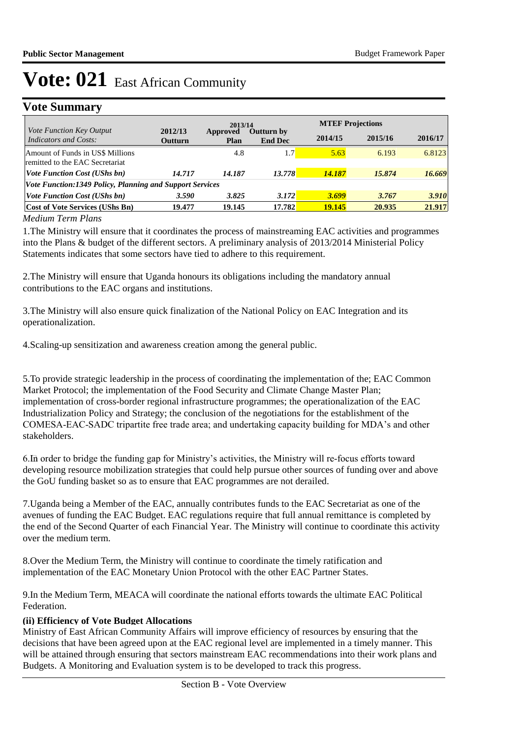## **Vote Summary**

| Vote Function Key Output                                            | 2012/13        | 2013/14          |                              |         | <b>MTEF Projections</b> |         |  |  |  |
|---------------------------------------------------------------------|----------------|------------------|------------------------------|---------|-------------------------|---------|--|--|--|
| Indicators and Costs:                                               | <b>Outturn</b> | Approved<br>Plan | Outturn by<br><b>End Dec</b> | 2014/15 | 2015/16                 | 2016/17 |  |  |  |
| Amount of Funds in US\$ Millions<br>remitted to the EAC Secretariat |                | 4.8              | 1.7 <sub>l</sub>             | 5.63    | 6.193                   | 6.8123  |  |  |  |
| <i><b>Vote Function Cost (UShs bn)</b></i>                          | 14.717         | 14.187           | 13.778                       | 14.187  | 15.874                  | 16.669  |  |  |  |
| Vote Function:1349 Policy, Planning and Support Services            |                |                  |                              |         |                         |         |  |  |  |
| <i>Vote Function Cost (UShs bn)</i>                                 | 3.590          | 3.825            | 3.172                        | 3.699   | 3.767                   | 3.910   |  |  |  |
| <b>Cost of Vote Services (UShs Bn)</b>                              | 19.477         | 19.145           | 17.782                       | 19.145  | 20.935                  | 21.917  |  |  |  |

### *Medium Term Plans*

1. The Ministry will ensure that it coordinates the process of mainstreaming EAC activities and programmes into the Plans & budget of the different sectors. A preliminary analysis of 2013/2014 Ministerial Policy Statements indicates that some sectors have tied to adhere to this requirement.

2. The Ministry will ensure that Uganda honours its obligations including the mandatory annual contributions to the EAC organs and institutions.

3. The Ministry will also ensure quick finalization of the National Policy on EAC Integration and its operationalization.

4. Scaling-up sensitization and awareness creation among the general public.

5. To provide strategic leadership in the process of coordinating the implementation of the; EAC Common Market Protocol; the implementation of the Food Security and Climate Change Master Plan; implementation of cross-border regional infrastructure programmes; the operationalization of the EAC Industrialization Policy and Strategy; the conclusion of the negotiations for the establishment of the COMESA-EAC-SADC tripartite free trade area; and undertaking capacity building for MDA's and other stakeholders.

6. In order to bridge the funding gap for Ministry's activities, the Ministry will re-focus efforts toward developing resource mobilization strategies that could help pursue other sources of funding over and above the GoU funding basket so as to ensure that EAC programmes are not derailed.

7. Uganda being a Member of the EAC, annually contributes funds to the EAC Secretariat as one of the avenues of funding the EAC Budget. EAC regulations require that full annual remittance is completed by the end of the Second Quarter of each Financial Year. The Ministry will continue to coordinate this activity over the medium term.

8. Over the Medium Term, the Ministry will continue to coordinate the timely ratification and implementation of the EAC Monetary Union Protocol with the other EAC Partner States.

9. In the Medium Term, MEACA will coordinate the national efforts towards the ultimate EAC Political **Federation** 

### **(ii) Efficiency of Vote Budget Allocations**

Ministry of East African Community Affairs will improve efficiency of resources by ensuring that the decisions that have been agreed upon at the EAC regional level are implemented in a timely manner. This will be attained through ensuring that sectors mainstream EAC recommendations into their work plans and Budgets. A Monitoring and Evaluation system is to be developed to track this progress.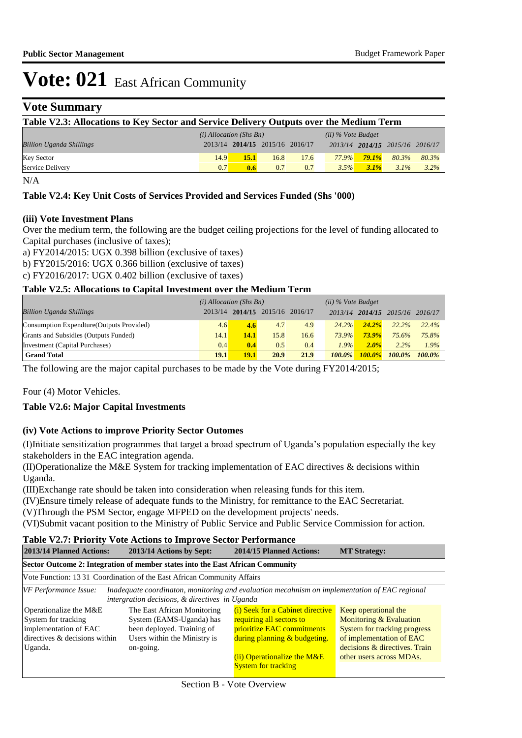## **Vote Summary**

| Table V2.3: Allocations to Key Sector and Service Delivery Outputs over the Medium Term |      |                                 |      |      |       |                                 |         |         |  |
|-----------------------------------------------------------------------------------------|------|---------------------------------|------|------|-------|---------------------------------|---------|---------|--|
| $(i)$ Allocation (Shs Bn)<br>$(ii)$ % Vote Budget                                       |      |                                 |      |      |       |                                 |         |         |  |
| <b>Billion Uganda Shillings</b>                                                         |      | 2013/14 2014/15 2015/16 2016/17 |      |      |       | 2013/14 2014/15 2015/16 2016/17 |         |         |  |
| <b>Key Sector</b>                                                                       | 14.9 | 15.1                            | 16.8 | 17.6 | 77.9% | 79.1%                           | 80.3%   | 80.3%   |  |
| Service Delivery                                                                        | 0.7  | 0.6                             | 0.7  | 0.7  | 3.5%  | $3.1\%$                         | $3.1\%$ | $3.2\%$ |  |

N/A

### **Table V2.4: Key Unit Costs of Services Provided and Services Funded (Shs '000)**

#### **(iii) Vote Investment Plans**

Over the medium term, the following are the budget ceiling projections for the level of funding allocated to Capital purchases (inclusive of taxes);

a) FY2014/2015: UGX 0.398 billion (exclusive of taxes)

b) FY2015/2016: UGX 0.366 billion (exclusive of taxes)

c) FY2016/2017: UGX 0.402 billion (exclusive of taxes)

### **Table V2.5: Allocations to Capital Investment over the Medium Term**

|                                           | $(i)$ Allocation (Shs Bn) |      |                                 |      | $(ii)$ % Vote Budget |               |                     |           |
|-------------------------------------------|---------------------------|------|---------------------------------|------|----------------------|---------------|---------------------|-----------|
| <b>Billion Uganda Shillings</b>           |                           |      | 2013/14 2014/15 2015/16 2016/17 |      | 2013/14              |               | $2014/15$ $2015/16$ | 2016/17   |
| Consumption Expendture (Outputs Provided) | 4.6                       | 4.6  | 4.7                             | 4.9  | 24.2%                | $24.2\%$      | 22.2%               | 22.4%     |
| Grants and Subsidies (Outputs Funded)     | 14.1                      | 14.1 | 15.8                            | 16.6 | 73.9%                | $73.9\%$      | 75.6%               | 75.8%     |
| Investment (Capital Purchases)            | 0.4                       | 0.4  | 0.5                             | 0.4  | 1.9%                 | $2.0\%$       | 2.2%                | 1.9%      |
| <b>Grand Total</b>                        | 19.1                      | 19.1 | 20.9                            | 21.9 | $100.0\%$            | <b>100.0%</b> | $100.0\%$           | $100.0\%$ |

The following are the major capital purchases to be made by the Vote during FY2014/2015;

Four (4) Motor Vehicles.

### **Table V2.6: Major Capital Investments**

### **(iv) Vote Actions to improve Priority Sector Outomes**

(I) Initiate sensitization programmes that target a broad spectrum of Uganda's population especially the key stakeholders in the EAC integration agenda.

(II) Operationalize the M&E System for tracking implementation of EAC directives  $\&$  decisions within Uganda.

(III) Exchange rate should be taken into consideration when releasing funds for this item.

(IV) Ensure timely release of adequate funds to the Ministry, for remittance to the EAC Secretariat.

(V)Through the PSM Sector, engage MFPED on the development projects' needs.

(VI) Submit vacant position to the Ministry of Public Service and Public Service Commission for action.

#### **Table V2.7: Priority Vote Actions to Improve Sector Performance**

| 2013/14 Planned Actions:                                                                                | 2014/15 Planned Actions:<br>2013/14 Actions by Sept:                                                                                            |                                                                                                                            | <b>MT Strategy:</b>                                                                                                           |  |  |  |  |  |  |
|---------------------------------------------------------------------------------------------------------|-------------------------------------------------------------------------------------------------------------------------------------------------|----------------------------------------------------------------------------------------------------------------------------|-------------------------------------------------------------------------------------------------------------------------------|--|--|--|--|--|--|
| Sector Outcome 2: Integration of member states into the East African Community                          |                                                                                                                                                 |                                                                                                                            |                                                                                                                               |  |  |  |  |  |  |
| Vote Function: 13 31 Coordination of the East African Community Affairs                                 |                                                                                                                                                 |                                                                                                                            |                                                                                                                               |  |  |  |  |  |  |
| VF Performance Issue:                                                                                   | Inadequate coordinaton, monitoring and evaluation mecahnism on implementation of EAC regional<br>intergration decisions, & directives in Uganda |                                                                                                                            |                                                                                                                               |  |  |  |  |  |  |
| Operationalize the M&E<br>System for tracking<br>implementation of EAC<br>directives & decisions within | The East African Monitoring<br>System (EAMS-Uganda) has<br>been deployed. Training of<br>Users within the Ministry is                           | (i) Seek for a Cabinet directive<br>requiring all sectors to<br>prioritize EAC commitments<br>during planning & budgeting. | Keep operational the<br><b>Monitoring &amp; Evaluation</b><br><b>System for tracking progress</b><br>of implementation of EAC |  |  |  |  |  |  |
| Uganda.                                                                                                 | on-going.                                                                                                                                       | $(ii)$ Operationalize the M&E<br><b>System for tracking</b>                                                                | decisions & directives. Train<br>other users across MDAs.                                                                     |  |  |  |  |  |  |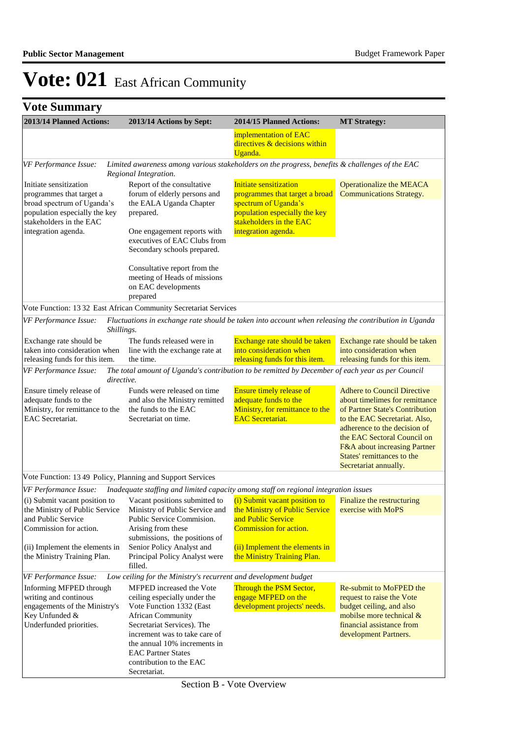**Vote Summary**

| 2013/14 Planned Actions:                                                                                                                                            |            | 2013/14 Actions by Sept:                                                                                                                                                                                                                                                                            | 2014/15 Planned Actions:                                                                                                                                                                                                                                          | <b>MT Strategy:</b>                                                                                                                                                                                                                                                                            |  |  |
|---------------------------------------------------------------------------------------------------------------------------------------------------------------------|------------|-----------------------------------------------------------------------------------------------------------------------------------------------------------------------------------------------------------------------------------------------------------------------------------------------------|-------------------------------------------------------------------------------------------------------------------------------------------------------------------------------------------------------------------------------------------------------------------|------------------------------------------------------------------------------------------------------------------------------------------------------------------------------------------------------------------------------------------------------------------------------------------------|--|--|
|                                                                                                                                                                     |            |                                                                                                                                                                                                                                                                                                     | implementation of EAC<br>directives & decisions within<br>Uganda.                                                                                                                                                                                                 |                                                                                                                                                                                                                                                                                                |  |  |
| VF Performance Issue:                                                                                                                                               |            | Regional Integration.                                                                                                                                                                                                                                                                               | Limited awareness among various stakeholders on the progress, benefits & challenges of the EAC                                                                                                                                                                    |                                                                                                                                                                                                                                                                                                |  |  |
| Initiate sensitization<br>programmes that target a<br>broad spectrum of Uganda's<br>population especially the key<br>stakeholders in the EAC<br>integration agenda. |            | Report of the consultative<br>forum of elderly persons and<br>the EALA Uganda Chapter<br>prepared.<br>One engagement reports with<br>executives of EAC Clubs from<br>Secondary schools prepared.<br>Consultative report from the<br>meeting of Heads of missions<br>on EAC developments<br>prepared | Initiate sensitization<br>programmes that target a broad<br>spectrum of Uganda's<br>population especially the key<br>stakeholders in the EAC<br>integration agenda.                                                                                               | <b>Operationalize the MEACA</b><br><b>Communications Strategy.</b>                                                                                                                                                                                                                             |  |  |
|                                                                                                                                                                     |            | Vote Function: 13 32 East African Community Secretariat Services                                                                                                                                                                                                                                    |                                                                                                                                                                                                                                                                   |                                                                                                                                                                                                                                                                                                |  |  |
| VF Performance Issue:                                                                                                                                               | Shillings. |                                                                                                                                                                                                                                                                                                     | Fluctuations in exchange rate should be taken into account when releasing the contribution in Uganda                                                                                                                                                              |                                                                                                                                                                                                                                                                                                |  |  |
| Exchange rate should be<br>taken into consideration when<br>releasing funds for this item.                                                                          |            | The funds released were in<br>line with the exchange rate at<br>the time.                                                                                                                                                                                                                           | Exchange rate should be taken<br>into consideration when<br>releasing funds for this item.                                                                                                                                                                        | Exchange rate should be taken<br>into consideration when<br>releasing funds for this item.                                                                                                                                                                                                     |  |  |
| VF Performance Issue:                                                                                                                                               | directive. |                                                                                                                                                                                                                                                                                                     | The total amount of Uganda's contribution to be remitted by December of each year as per Council                                                                                                                                                                  |                                                                                                                                                                                                                                                                                                |  |  |
| Ensure timely release of<br>adequate funds to the<br>Ministry, for remittance to the<br><b>EAC</b> Secretariat.                                                     |            | Funds were released on time<br>and also the Ministry remitted<br>the funds to the EAC<br>Secretariat on time.                                                                                                                                                                                       | Ensure timely release of<br>adequate funds to the<br>Ministry, for remittance to the<br><b>EAC</b> Secretariat.                                                                                                                                                   | <b>Adhere to Council Directive</b><br>about timelimes for remittance<br>of Partner State's Contribution<br>to the EAC Secretariat. Also,<br>adherence to the decision of<br>the EAC Sectoral Council on<br>F&A about increasing Partner<br>States' remittances to the<br>Secretariat annually. |  |  |
|                                                                                                                                                                     |            | Vote Function: 13 49 Policy, Planning and Support Services                                                                                                                                                                                                                                          |                                                                                                                                                                                                                                                                   |                                                                                                                                                                                                                                                                                                |  |  |
| VF Performance Issue:                                                                                                                                               |            |                                                                                                                                                                                                                                                                                                     | Inadequate staffing and limited capacity among staff on regional integration issues                                                                                                                                                                               |                                                                                                                                                                                                                                                                                                |  |  |
| (i) Submit vacant position to<br>and Public Service<br>Commission for action.<br>(ii) Implement the elements in<br>the Ministry Training Plan.                      |            | Vacant positions submitted to<br>Public Service Commision.<br>Arising from these<br>submissions, the positions of<br>Senior Policy Analyst and<br>Principal Policy Analyst were<br>filled.                                                                                                          | (i) Submit vacant position to<br>the Ministry of Public Service Ministry of Public Service and the Ministry of Public Service exercise with MoPS<br>and Public Service<br>Commission for action.<br>(ii) Implement the elements in<br>the Ministry Training Plan. | Finalize the restructuring                                                                                                                                                                                                                                                                     |  |  |
| VF Performance Issue:                                                                                                                                               |            | Low ceiling for the Ministry's recurrent and development budget                                                                                                                                                                                                                                     |                                                                                                                                                                                                                                                                   |                                                                                                                                                                                                                                                                                                |  |  |
| Informing MFPED through<br>writing and continous<br>engagements of the Ministry's<br>Key Unfunded &<br>Underfunded priorities.                                      |            | MFPED increased the Vote<br>ceiling especially under the<br>Vote Function 1332 (East<br><b>African Community</b><br>Secretariat Services). The<br>increment was to take care of<br>the annual 10% increments in<br><b>EAC Partner States</b><br>contribution to the EAC<br>Secretariat.             | Through the PSM Sector,<br>engage MFPED on the<br>development projects' needs.                                                                                                                                                                                    | Re-submit to MoFPED the<br>request to raise the Vote<br>budget ceiling, and also<br>mobilse more technical $&$<br>financial assistance from<br>development Partners.                                                                                                                           |  |  |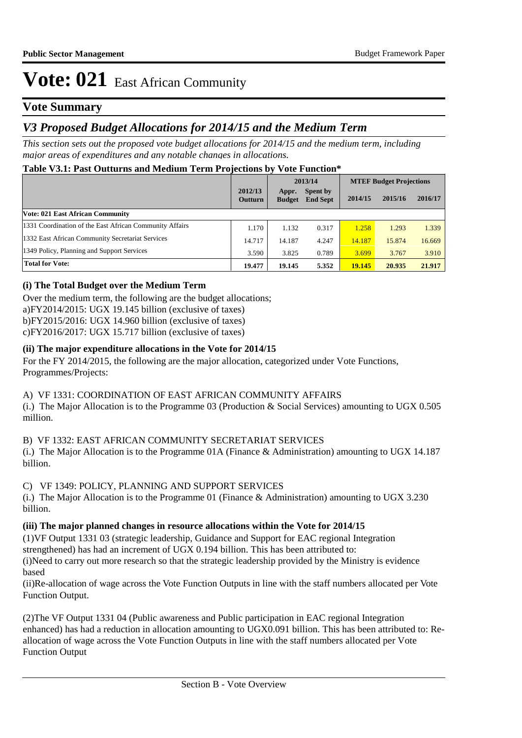## **Vote Summary**

## *V3 Proposed Budget Allocations for 2014/15 and the Medium Term*

*This section sets out the proposed vote budget allocations for 2014/15 and the medium term, including major areas of expenditures and any notable changes in allocations.* 

### **Table V3.1: Past Outturns and Medium Term Projections by Vote Function\***

|                                                         |                           | 2013/14                |                                    | <b>MTEF Budget Projections</b> |         |         |  |
|---------------------------------------------------------|---------------------------|------------------------|------------------------------------|--------------------------------|---------|---------|--|
|                                                         | 2012/13<br><b>Outturn</b> | Appr.<br><b>Budget</b> | <b>Spent by</b><br><b>End Sept</b> | 2014/15                        | 2015/16 | 2016/17 |  |
| Vote: 021 East African Community                        |                           |                        |                                    |                                |         |         |  |
| 1331 Coordination of the East African Community Affairs | 1.170                     | 1.132                  | 0.317                              | 1.258                          | 1.293   | 1.339   |  |
| 1332 East African Community Secretariat Services        | 14.717                    | 14.187                 | 4.247                              | 14.187                         | 15.874  | 16.669  |  |
| 1349 Policy, Planning and Support Services              | 3.590                     | 3.825                  | 0.789                              | 3.699                          | 3.767   | 3.910   |  |
| <b>Total for Vote:</b>                                  | 19.477                    | 19.145                 | 5.352                              | 19.145                         | 20.935  | 21.917  |  |

### **(i) The Total Budget over the Medium Term**

Over the medium term, the following are the budget allocations; a) $FY2014/2015$ : UGX 19.145 billion (exclusive of taxes)  $b)$ FY2015/2016: UGX 14.960 billion (exclusive of taxes)  $c$ ) $FY2016/2017$ : UGX 15.717 billion (exclusive of taxes)

### **(ii) The major expenditure allocations in the Vote for 2014/15**

For the FY 2014/2015, the following are the major allocation, categorized under Vote Functions, Programmes/Projects:

### A) VF 1331: COORDINATION OF EAST AFRICAN COMMUNITY AFFAIRS

(i.) The Major Allocation is to the Programme 03 (Production & Social Services) amounting to UGX 0.505 million.

### B) VF 1332: EAST AFRICAN COMMUNITY SECRETARIAT SERVICES

(i.) The Major Allocation is to the Programme 01A (Finance & Administration) amounting to UGX 14.187 billion.

### C) VF 1349: POLICY, PLANNING AND SUPPORT SERVICES

(i.) The Major Allocation is to the Programme 01 (Finance & Administration) amounting to UGX 3.230 billion.

### **(iii) The major planned changes in resource allocations within the Vote for 2014/15**

(1) VF Output 1331 03 (strategic leadership, Guidance and Support for EAC regional Integration strengthened) has had an increment of UGX 0.194 billion. This has been attributed to:

(i) Need to carry out more research so that the strategic leadership provided by the Ministry is evidence based

(ii) Re-allocation of wage across the Vote Function Outputs in line with the staff numbers allocated per Vote Function Output.

(2) The VF Output 1331 04 (Public awareness and Public participation in EAC regional Integration enhanced) has had a reduction in allocation amounting to UGX0.091 billion. This has been attributed to: Reallocation of wage across the Vote Function Outputs in line with the staff numbers allocated per Vote Function Output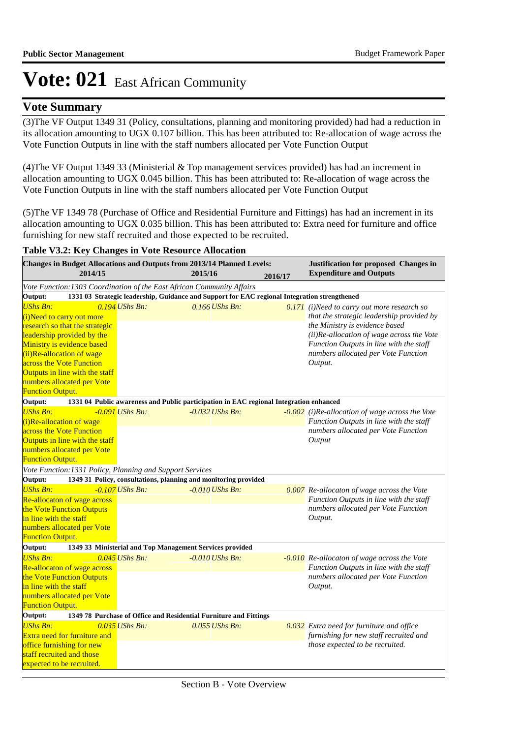## **Vote Summary**

(3) The VF Output 1349 31 (Policy, consultations, planning and monitoring provided) had had a reduction in its allocation amounting to UGX 0.107 billion. This has been attributed to: Re-allocation of wage across the Vote Function Outputs in line with the staff numbers allocated per Vote Function Output

(4) The VF Output 1349 33 (Ministerial & Top management services provided) has had an increment in allocation amounting to UGX 0.045 billion. This has been attributed to: Re-allocation of wage across the Vote Function Outputs in line with the staff numbers allocated per Vote Function Output

(5) The VF 1349 78 (Purchase of Office and Residential Furniture and Fittings) has had an increment in its allocation amounting to UGX 0.035 billion. This has been attributed to: Extra need for furniture and office furnishing for new staff recruited and those expected to be recruited.

### **Table V3.2: Key Changes in Vote Resource Allocation**

| Changes in Budget Allocations and Outputs from 2013/14 Planned Levels:<br>2014/15                                                                                                                                                                                                              |                                                          | 2015/16                                                                                | 2016/17 | Justification for proposed Changes in<br><b>Expenditure and Outputs</b>                                                                                                                                                                                              |  |  |  |
|------------------------------------------------------------------------------------------------------------------------------------------------------------------------------------------------------------------------------------------------------------------------------------------------|----------------------------------------------------------|----------------------------------------------------------------------------------------|---------|----------------------------------------------------------------------------------------------------------------------------------------------------------------------------------------------------------------------------------------------------------------------|--|--|--|
| Vote Function: 1303 Coordination of the East African Community Affairs                                                                                                                                                                                                                         |                                                          |                                                                                        |         |                                                                                                                                                                                                                                                                      |  |  |  |
| 1331 03 Strategic leadership, Guidance and Support for EAC regional Integration strengthened<br>Output:                                                                                                                                                                                        |                                                          |                                                                                        |         |                                                                                                                                                                                                                                                                      |  |  |  |
| <b>UShs Bn:</b><br>(i)Need to carry out more<br>research so that the strategic<br>leadership provided by the<br>Ministry is evidence based<br>(ii)Re-allocation of wage<br>across the Vote Function<br>Outputs in line with the staff<br>numbers allocated per Vote<br><b>Function Output.</b> | $0.194$ UShs Bn:                                         | $0.166$ UShs Bn:                                                                       |         | 0.171 (i)Need to carry out more research so<br>that the strategic leadership provided by<br>the Ministry is evidence based<br>(ii)Re-allocation of wage across the Vote<br>Function Outputs in line with the staff<br>numbers allocated per Vote Function<br>Output. |  |  |  |
| Output:                                                                                                                                                                                                                                                                                        |                                                          | 1331 04 Public awareness and Public participation in EAC regional Integration enhanced |         |                                                                                                                                                                                                                                                                      |  |  |  |
| <b>UShs Bn:</b><br>(i)Re-allocation of wage<br>across the Vote Function<br>Outputs in line with the staff<br>numbers allocated per Vote<br><b>Function Output.</b>                                                                                                                             | $-0.091$ UShs Bn:                                        | $-0.032$ UShs Bn:                                                                      |         | -0.002 (i)Re-allocation of wage across the Vote<br>Function Outputs in line with the staff<br>numbers allocated per Vote Function<br>Output                                                                                                                          |  |  |  |
| Vote Function: 1331 Policy, Planning and Support Services                                                                                                                                                                                                                                      |                                                          |                                                                                        |         |                                                                                                                                                                                                                                                                      |  |  |  |
| Output:<br><b>UShs Bn:</b><br>Re-allocaton of wage across<br>the Vote Function Outputs<br>in line with the staff<br>numbers allocated per Vote<br><b>Function Output.</b>                                                                                                                      | $-0.107$ UShs Bn:                                        | 1349 31 Policy, consultations, planning and monitoring provided<br>$-0.010$ UShs Bn:   |         | 0.007 Re-allocaton of wage across the Vote<br>Function Outputs in line with the staff<br>numbers allocated per Vote Function<br>Output.                                                                                                                              |  |  |  |
| Output:                                                                                                                                                                                                                                                                                        | 1349 33 Ministerial and Top Management Services provided |                                                                                        |         |                                                                                                                                                                                                                                                                      |  |  |  |
| <b>UShs Bn:</b><br>Re-allocaton of wage across<br>the Vote Function Outputs<br>in line with the staff<br>numbers allocated per Vote<br><b>Function Output.</b>                                                                                                                                 | $0.045$ UShs Bn:                                         | $-0.010$ UShs Bn:                                                                      |         | -0.010 Re-allocaton of wage across the Vote<br>Function Outputs in line with the staff<br>numbers allocated per Vote Function<br>Output.                                                                                                                             |  |  |  |
| Output:<br>1349 78 Purchase of Office and Residential Furniture and Fittings                                                                                                                                                                                                                   |                                                          |                                                                                        |         |                                                                                                                                                                                                                                                                      |  |  |  |
| <b>UShs Bn:</b><br><b>Extra need for furniture and</b><br>office furnishing for new<br>staff recruited and those<br>expected to be recruited.                                                                                                                                                  | $0.035$ UShs Bn:                                         | $0.055$ UShs Bn:                                                                       |         | 0.032 Extra need for furniture and office<br>furnishing for new staff recruited and<br>those expected to be recruited.                                                                                                                                               |  |  |  |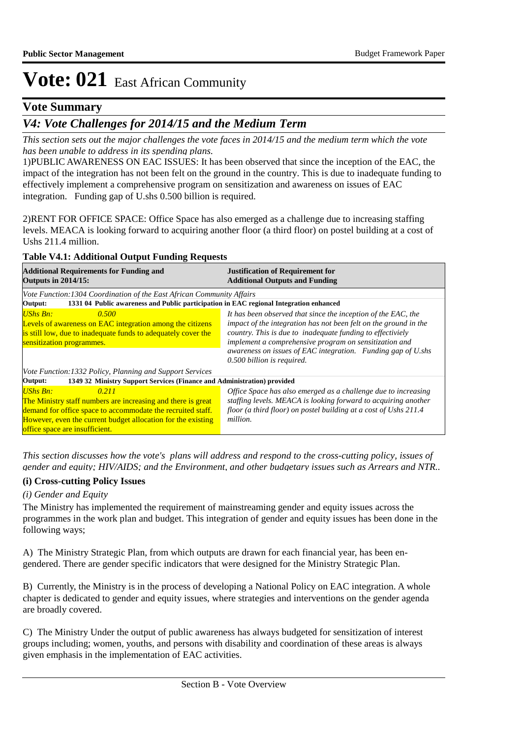## **Vote Summary**

## *V4: Vote Challenges for 2014/15 and the Medium Term*

*This section sets out the major challenges the vote faces in 2014/15 and the medium term which the vote has been unable to address in its spending plans.*

1) PUBLIC AWARENESS ON EAC ISSUES: It has been observed that since the inception of the EAC, the impact of the integration has not been felt on the ground in the country. This is due to inadequate funding to effectively implement a comprehensive program on sensitization and awareness on issues of EAC integration. Funding gap of U.shs 0.500 billion is required.

2) RENT FOR OFFICE SPACE: Office Space has also emerged as a challenge due to increasing staffing levels. MEACA is looking forward to acquiring another floor (a third floor) on postel building at a cost of Ushs 211.4 million.

### **Table V4.1: Additional Output Funding Requests**

| <b>Additional Requirements for Funding and</b><br><b>Outputs in 2014/15:</b>                                                                                                                                                                              | <b>Justification of Requirement for</b><br><b>Additional Outputs and Funding</b>                                                                                                                                                                                                                                                                        |  |  |  |  |
|-----------------------------------------------------------------------------------------------------------------------------------------------------------------------------------------------------------------------------------------------------------|---------------------------------------------------------------------------------------------------------------------------------------------------------------------------------------------------------------------------------------------------------------------------------------------------------------------------------------------------------|--|--|--|--|
| Vote Function: 1304 Coordination of the East African Community Affairs                                                                                                                                                                                    |                                                                                                                                                                                                                                                                                                                                                         |  |  |  |  |
| 1331 04 Public awareness and Public participation in EAC regional Integration enhanced<br>Output:                                                                                                                                                         |                                                                                                                                                                                                                                                                                                                                                         |  |  |  |  |
| <b>UShs Bn:</b><br>0.500<br>Levels of awareness on EAC integration among the citizens<br>is still low, due to inadequate funds to adequately cover the<br>sensitization programmes.                                                                       | It has been observed that since the inception of the EAC, the<br>impact of the integration has not been felt on the ground in the<br>country. This is due to inadequate funding to effectiviely<br>implement a comprehensive program on sensitization and<br>awareness on issues of EAC integration. Funding gap of U.shs<br>0.500 billion is required. |  |  |  |  |
| Vote Function: 1332 Policy, Planning and Support Services                                                                                                                                                                                                 |                                                                                                                                                                                                                                                                                                                                                         |  |  |  |  |
| 1349 32 Ministry Support Services (Finance and Administration) provided<br>Output:                                                                                                                                                                        |                                                                                                                                                                                                                                                                                                                                                         |  |  |  |  |
| <b>UShs Bn:</b><br>0.211<br>The Ministry staff numbers are increasing and there is great<br>demand for office space to accommodate the recruited staff.<br>However, even the current budget allocation for the existing<br>office space are insufficient. | Office Space has also emerged as a challenge due to increasing<br>staffing levels. MEACA is looking forward to acquiring another<br>floor (a third floor) on postel building at a cost of Ushs 211.4<br>million.                                                                                                                                        |  |  |  |  |

*This section discusses how the vote's plans will address and respond to the cross-cutting policy, issues of gender and equity; HIV/AIDS; and the Environment, and other budgetary issues such as Arrears and NTR..* 

### **(i) Cross-cutting Policy Issues**

### *(i) Gender and Equity*

The Ministry has implemented the requirement of mainstreaming gender and equity issues across the programmes in the work plan and budget. This integration of gender and equity issues has been done in the following ways;

A) The Ministry Strategic Plan, from which outputs are drawn for each financial year, has been engendered. There are gender specific indicators that were designed for the Ministry Strategic Plan.

B) Currently, the Ministry is in the process of developing a National Policy on EAC integration. A whole chapter is dedicated to gender and equity issues, where strategies and interventions on the gender agenda are broadly covered.

C) The Ministry Under the output of public awareness has always budgeted for sensitization of interest groups including; women, youths, and persons with disability and coordination of these areas is always given emphasis in the implementation of EAC activities.